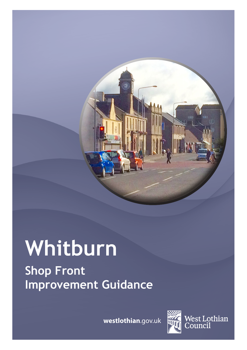

# **Whitburn Shop Front Improvement Guidance**

**westlothian**.gov.uk



West Lothian<br>Council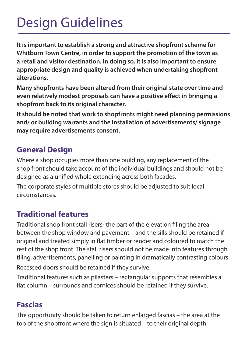## Design Guidelines

**It is important to establish a strong and attractive shopfront scheme for Whitburn Town Centre, in order to support the promotion of the town as a retail and visitor destination. In doing so, it Is also important to ensure appropriate design and quality is achieved when undertaking shopfront alterations.** 

**Many shopfronts have been altered from their original state over time and even relatively modest proposals can have a positive effect in bringing a shopfront back to its original character.**

**It should be noted that work to shopfronts might need planning permissions and/ or building warrants and the installation of advertisements/ signage may require advertisements consent.** 

#### **General Design**

Where a shop occupies more than one building, any replacement of the shop front should take account of the individual buildings and should not be designed as a unified whole extending across both facades.

The corporate styles of multiple stores should be adjusted to suit local circumstances.

## **Traditional features**

Traditional shop front stall risers- the part of the elevation filing the area between the shop window and pavement – and the sills should be retained if original and treated simply in flat timber or render and coloured to match the rest of the shop front. The stall risers should not be made into features through tiling, advertisements, panelling or painting in dramatically contrasting colours Recessed doors should be retained if they survive.

Traditional features such as pilasters – rectangular supports that resembles a flat column – surrounds and cornices should be retained if they survive.

## **Fascias**

The opportunity should be taken to return enlarged fascias – the area at the top of the shopfront where the sign is situated – to their original depth.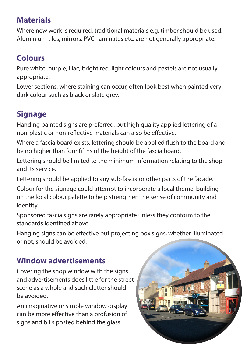## **Materials**

Where new work is required, traditional materials e.g. timber should be used. Aluminium tiles, mirrors. PVC, laminates etc. are not generally appropriate.

## **Colours**

Pure white, purple, lilac, bright red, light colours and pastels are not usually appropriate.

Lower sections, where staining can occur, often look best when painted very dark colour such as black or slate grey.

## **Signage**

Handing painted signs are preferred, but high quality applied lettering of a non-plastic or non-reflective materials can also be effective.

Where a fascia board exists, lettering should be applied flush to the board and be no higher than four fifths of the height of the fascia board.

Lettering should be limited to the minimum information relating to the shop and its service.

Lettering should be applied to any sub-fascia or other parts of the façade.

Colour for the signage could attempt to incorporate a local theme, building on the local colour palette to help strengthen the sense of community and identity.

Sponsored fascia signs are rarely appropriate unless they conform to the standards identified above.

Hanging signs can be effective but projecting box signs, whether illuminated or not, should be avoided.

## **Window advertisements**

Covering the shop window with the signs and advertisements does little for the street scene as a whole and such clutter should be avoided.

An imaginative or simple window display can be more effective than a profusion of signs and bills posted behind the glass.